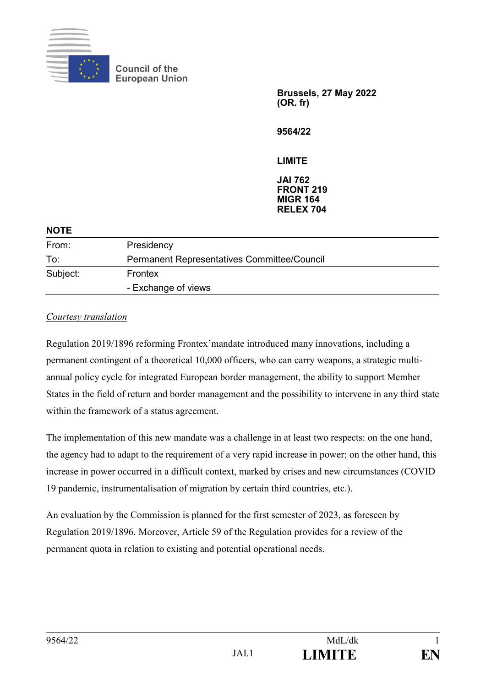

**Council of the European Union**

> **Brussels, 27 May 2022 (OR. fr)**

**9564/22**

**LIMITE**

**JAI 762 FRONT 219 MIGR 164 RELEX 704**

| <b>NOTE</b> |                                                    |
|-------------|----------------------------------------------------|
| From:       | Presidency                                         |
| To:         | <b>Permanent Representatives Committee/Council</b> |
| Subject:    | Frontex<br>- Exchange of views                     |
|             |                                                    |

#### *Courtesy translation*

Regulation 2019/1896 reforming Frontex'mandate introduced many innovations, including a permanent contingent of a theoretical 10,000 officers, who can carry weapons, a strategic multiannual policy cycle for integrated European border management, the ability to support Member States in the field of return and border management and the possibility to intervene in any third state within the framework of a status agreement.

The implementation of this new mandate was a challenge in at least two respects: on the one hand, the agency had to adapt to the requirement of a very rapid increase in power; on the other hand, this increase in power occurred in a difficult context, marked by crises and new circumstances (COVID 19 pandemic, instrumentalisation of migration by certain third countries, etc.).

An evaluation by the Commission is planned for the first semester of 2023, as foreseen by Regulation 2019/1896. Moreover, Article 59 of the Regulation provides for a review of the permanent quota in relation to existing and potential operational needs.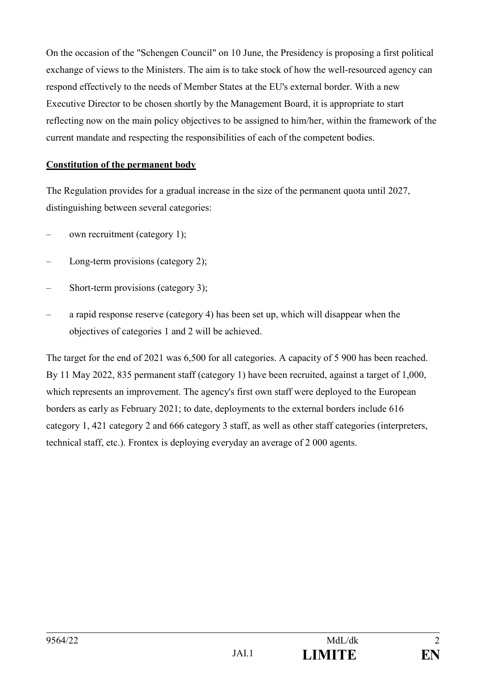On the occasion of the "Schengen Council" on 10 June, the Presidency is proposing a first political exchange of views to the Ministers. The aim is to take stock of how the well-resourced agency can respond effectively to the needs of Member States at the EU's external border. With a new Executive Director to be chosen shortly by the Management Board, it is appropriate to start reflecting now on the main policy objectives to be assigned to him/her, within the framework of the current mandate and respecting the responsibilities of each of the competent bodies.

#### **Constitution of the permanent body**

The Regulation provides for a gradual increase in the size of the permanent quota until 2027, distinguishing between several categories:

- own recruitment (category 1);
- Long-term provisions (category 2);
- Short-term provisions (category 3);
- a rapid response reserve (category 4) has been set up, which will disappear when the objectives of categories 1 and 2 will be achieved.

The target for the end of 2021 was 6,500 for all categories. A capacity of 5 900 has been reached. By 11 May 2022, 835 permanent staff (category 1) have been recruited, against a target of 1,000, which represents an improvement. The agency's first own staff were deployed to the European borders as early as February 2021; to date, deployments to the external borders include 616 category 1, 421 category 2 and 666 category 3 staff, as well as other staff categories (interpreters, technical staff, etc.). Frontex is deploying everyday an average of 2 000 agents.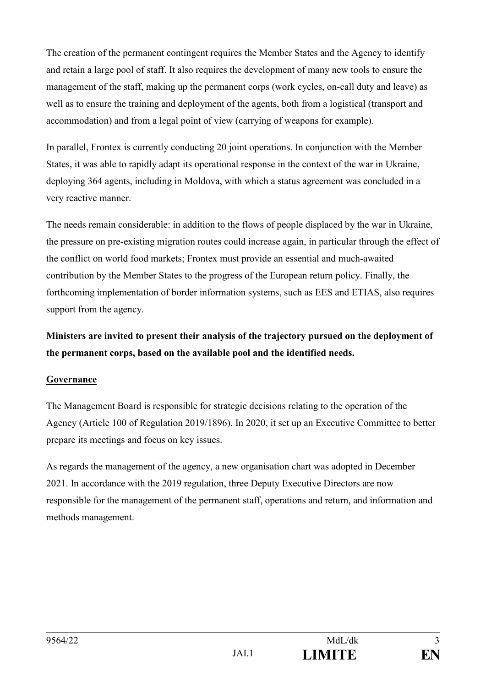The creation of the permanent contingent requires the Member States and the Agency to identify and retain a large pool of staff. It also requires the development of many new tools to ensure the management of the staff, making up the permanent corps (work cycles, on-call duty and leave) as well as to ensure the training and deployment of the agents, both from a logistical (transport and accommodation) and from a legal point of view (carrying of weapons for example).

In parallel, Frontex is currently conducting 20 joint operations. In conjunction with the Member States, it was able to rapidly adapt its operational response in the context of the war in Ukraine, deploying 364 agents, including in Moldova, with which a status agreement was concluded in a very reactive manner.

The needs remain considerable: in addition to the flows of people displaced by the war in Ukraine, the pressure on pre-existing migration routes could increase again, in particular through the effect of the conflict on world food markets; Frontex must provide an essential and much-awaited contribution by the Member States to the progress of the European return policy. Finally, the forthcoming implementation of border information systems, such as EES and ETIAS, also requires support from the agency.

# **Ministers are invited to present their analysis of the trajectory pursued on the deployment of the permanent corps, based on the available pool and the identified needs.**

#### **Governance**

The Management Board is responsible for strategic decisions relating to the operation of the Agency (Article 100 of Regulation 2019/1896). In 2020, it set up an Executive Committee to better prepare its meetings and focus on key issues.

As regards the management of the agency, a new organisation chart was adopted in December 2021. In accordance with the 2019 regulation, three Deputy Executive Directors are now responsible for the management of the permanent staff, operations and return, and information and methods management.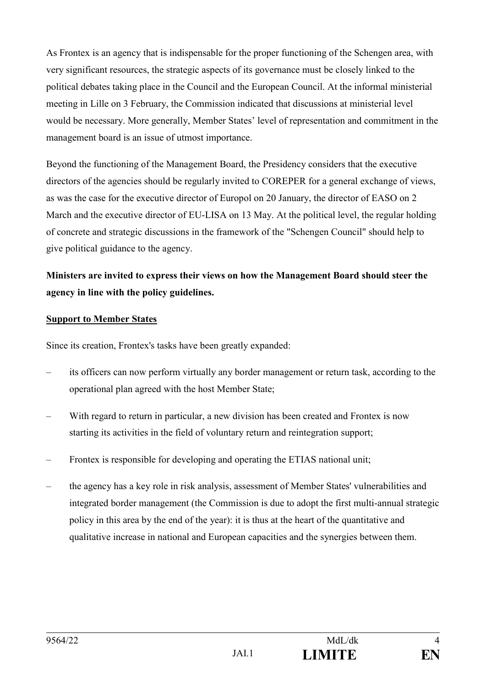As Frontex is an agency that is indispensable for the proper functioning of the Schengen area, with very significant resources, the strategic aspects of its governance must be closely linked to the political debates taking place in the Council and the European Council. At the informal ministerial meeting in Lille on 3 February, the Commission indicated that discussions at ministerial level would be necessary. More generally, Member States' level of representation and commitment in the management board is an issue of utmost importance.

Beyond the functioning of the Management Board, the Presidency considers that the executive directors of the agencies should be regularly invited to COREPER for a general exchange of views, as was the case for the executive director of Europol on 20 January, the director of EASO on 2 March and the executive director of EU-LISA on 13 May. At the political level, the regular holding of concrete and strategic discussions in the framework of the "Schengen Council" should help to give political guidance to the agency.

## **Ministers are invited to express their views on how the Management Board should steer the agency in line with the policy guidelines.**

#### **Support to Member States**

Since its creation, Frontex's tasks have been greatly expanded:

- its officers can now perform virtually any border management or return task, according to the operational plan agreed with the host Member State;
- With regard to return in particular, a new division has been created and Frontex is now starting its activities in the field of voluntary return and reintegration support;
- Frontex is responsible for developing and operating the ETIAS national unit;
- the agency has a key role in risk analysis, assessment of Member States' vulnerabilities and integrated border management (the Commission is due to adopt the first multi-annual strategic policy in this area by the end of the year): it is thus at the heart of the quantitative and qualitative increase in national and European capacities and the synergies between them.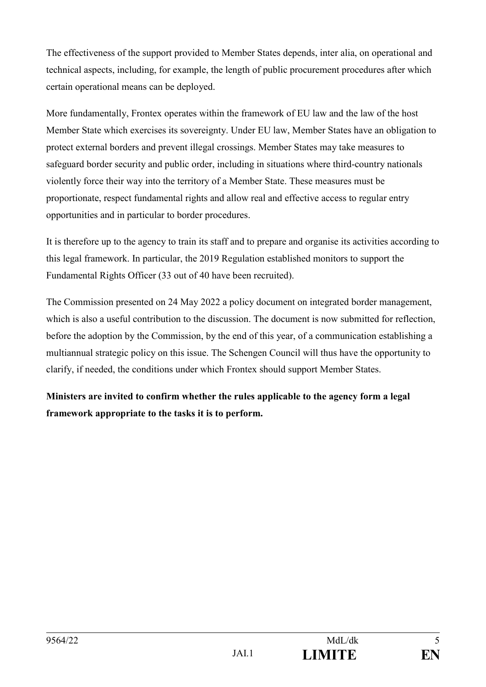The effectiveness of the support provided to Member States depends, inter alia, on operational and technical aspects, including, for example, the length of public procurement procedures after which certain operational means can be deployed.

More fundamentally, Frontex operates within the framework of EU law and the law of the host Member State which exercises its sovereignty. Under EU law, Member States have an obligation to protect external borders and prevent illegal crossings. Member States may take measures to safeguard border security and public order, including in situations where third-country nationals violently force their way into the territory of a Member State. These measures must be proportionate, respect fundamental rights and allow real and effective access to regular entry opportunities and in particular to border procedures.

It is therefore up to the agency to train its staff and to prepare and organise its activities according to this legal framework. In particular, the 2019 Regulation established monitors to support the Fundamental Rights Officer (33 out of 40 have been recruited).

The Commission presented on 24 May 2022 a policy document on integrated border management, which is also a useful contribution to the discussion. The document is now submitted for reflection, before the adoption by the Commission, by the end of this year, of a communication establishing a multiannual strategic policy on this issue. The Schengen Council will thus have the opportunity to clarify, if needed, the conditions under which Frontex should support Member States.

**Ministers are invited to confirm whether the rules applicable to the agency form a legal framework appropriate to the tasks it is to perform.**